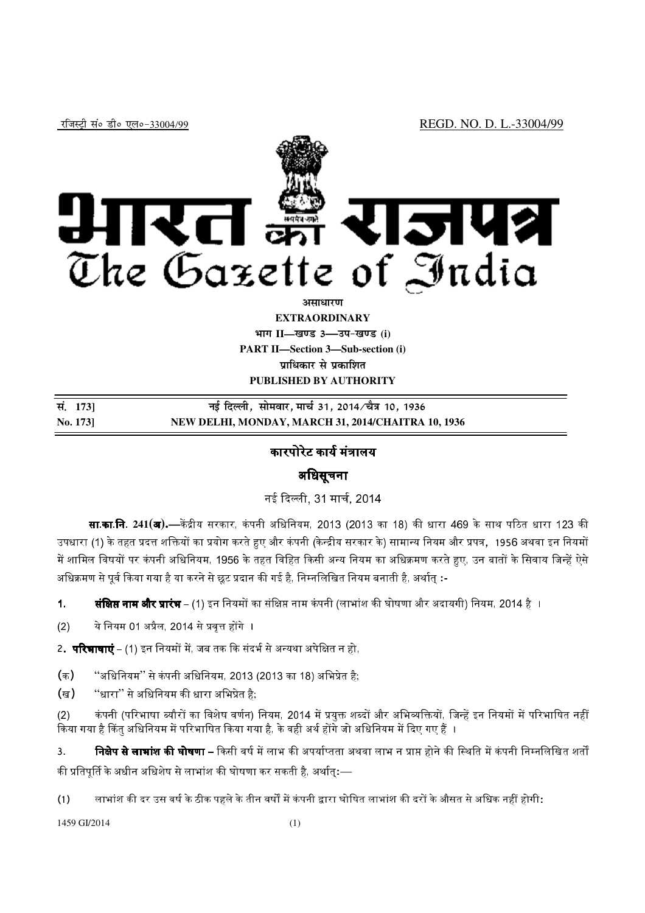

### **vlk/kj.k**

**EXTRAORDINARY Hkkx II—[k.M 3—mi&[k.M (i) PART II—Section 3—Sub-section (i) प्राधिकार से प्रकाशित PUBLISHED BY AUTHORITY**

| सं. 1731 | नई दिल्ली, सोमवार, मार्च 31, 2014 ∕चैत्र 10, 1936  |
|----------|----------------------------------------------------|
| No. 1731 | NEW DELHI, MONDAY, MARCH 31, 2014/CHAITRA 10, 1936 |

### कारपोरेट कार्य मंत्रालय

## अिधसूचना

नई दिल्ली, 31 मार्च, 2014

**सा.का.नि. 241(अ)<b>.**—केंद्रीय सरकार, कंपनी अधिनियम, 2013 (2013 का 18) की धारा 469 के साथ पठित धारा 123 की उपधारा (1) के तहत प्रदत्त शक्तियों का प्रयोग करते हुए और कंपनी (केन्द्रीय सरकार के) सामान्य नियम और प्रपत्र, 1956 अथवा इन नियमों में शामिल विषयों पर कंपनी अधिनियम, 1956 के तहत विहित किसी अन्य नियम का अधिक्रमण करते हुए. उन बातों के सिवाय जिन्हें ऐसे अधिक्रमण से पूर्व किया गया है या करने से छूट प्रदान की गई है, निम्नलिखित नियम बनाती है, अर्थात् **:**-

**1. संक्षिप्त नाम और प्रारंभ** – (1) इन नियमों का संक्षिप्त नाम कंपनी (लाभांश की घोषणा और अदायगी) नियम, 2014 है ।

 $(2)$  ये नियम 01 अप्रैल, 2014 से प्रवृत्त होंगे ।

2.**परिभाषाएं** – (1) इन नियमों में, जब तक कि संदर्भ से अन्यथा अपेक्षित न हो,

- $($ क) "अधिनियम'' से कंपनी अधिनियम, 2013 (2013 का 18) अभिप्रेत है;
- $($ ख $)$  ''धारा'' से अधिनियम की धारा अभिप्रेत है;

(2) कंपनी (परिभाषा ब्यौरों का विशेष वर्णन) नियम, 2014 में प्रयक्त शब्दों और अभिव्यक्तियों, जिन्हें इन नियमों में परिभाषित नहीं किया गया है किंत अधिनियम में परिभाषित किया गया है. के वही अर्थ होंगे जो अधिनियम में दिए गए हैं ।

3. **निक्षेप से लाभांश की घोषणा** – किसी वर्ष में लाभ की अपर्याप्तता अथवा लाभ न प्राप्त होने की स्थिति में कंपनी निम्नलिखित शर्तों की प्रतिपूर्ति के अधीन अधिशेष से लाभांश की घोषणा कर सकती है, अर्थात्**:**—

(1) लाभांश की दर उस वर्ष के ठीक पहले के तीन वर्षों में कंपनी द्वारा घोषित लाभांश की दरों के औसत से अधिक नहीं होगी**:** 

1459 GI/2014 (1)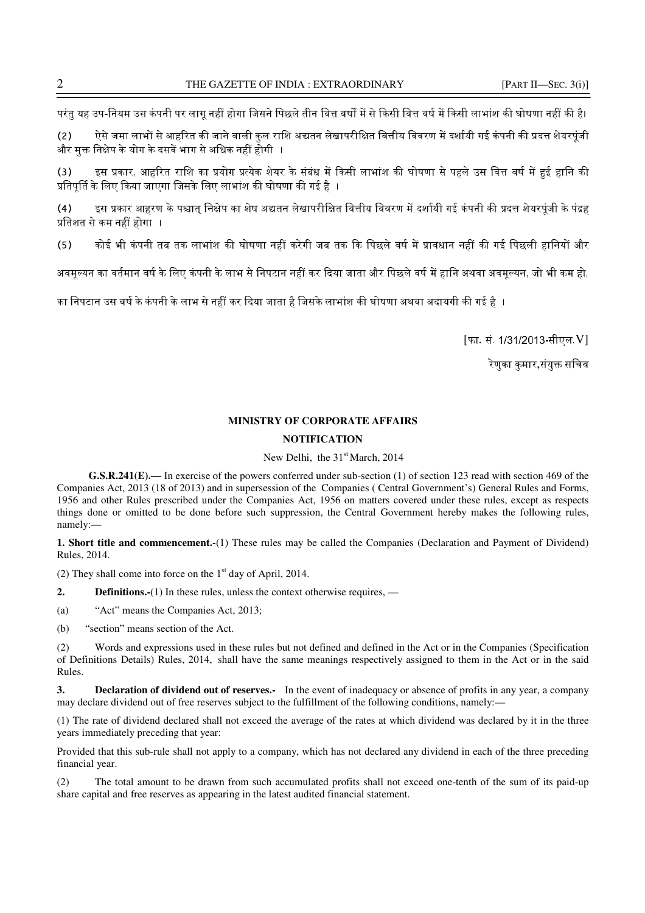परंत यह उप-नियम उस कंपनी पर लाग नहीं होगा जिसने पिछले तीन वित्त वर्षों में से किसी वित्त वर्ष में किसी लाभांश की घोषणा नहीं की है।

(2) ऐसे जमा लाभों से आहरित की जाने वाली कुल राशि अद्यतन लेखापरीक्षित वित्तीय विवरण में दर्शायी गई कंपनी की प्रदत्त शेयरपूंजी और मक्त निक्षेप के योग के दसवें भाग से अधिक नहीं होगी ⊣

(3) दस प्रकार, आहरित राशि का प्रयोग प्रत्येक शेयर के संबंध में किसी लाभांश की घोषणा से पहले उस वित्त वर्ष में हुई हानि की प्रतिपूर्ति के लिए किया जाएगा जिसके लिए लाभांश की घोषणा की गई है ।

(4) इस प्रकार आहरण के पश्चात् निक्षेप का शेष अद्यतन लेखापरीक्षित वित्तीय विवरण में दर्शायी गई कंपनी की प्रदत्त शेयरपूंजी के पंद्रह प्रतिशत से कम नहीं होगा ।

(5) कोई भी कंपनी तब तक लाभांश की घोषणा नहीं करेगी जब तक कि पिछले वर्ष में प्रावधान नहीं की गई पिछली हानियों और

अवमूल्यन का वर्तमान वर्ष के लिए कंपनी के लाभ से निपटान नहीं कर दिया जाता और पिछले वर्ष में हानि अथवा अवमूल्यन, जो भी कम हो,

का निपटान उस वर्ष के कंपनी के लाभ से नहीं कर दिया जाता है जिसके लाभांश की घोषणा अथवा अदायगी की गई है ।

[फा. सं. 1/31/2013-सीएल.V]

.<br>रेणका कमार,संयक्त सचिव

# **MINISTRY OF CORPORATE AFFAIRS**

#### **NOTIFICATION**

New Delhi, the 31<sup>st</sup> March, 2014

**G.S.R.241(E).—** In exercise of the powers conferred under sub-section (1) of section 123 read with section 469 of the Companies Act, 2013 (18 of 2013) and in supersession of the Companies ( Central Government's) General Rules and Forms, 1956 and other Rules prescribed under the Companies Act, 1956 on matters covered under these rules, except as respects things done or omitted to be done before such suppression, the Central Government hereby makes the following rules, namely:—

**1. Short title and commencement.-**(1) These rules may be called the Companies (Declaration and Payment of Dividend) Rules, 2014.

(2) They shall come into force on the  $1<sup>st</sup>$  day of April, 2014.

**2. Definitions.-**(1) In these rules, unless the context otherwise requires, —

(a) "Act" means the Companies Act, 2013;

(b) "section" means section of the Act.

(2) Words and expressions used in these rules but not defined and defined in the Act or in the Companies (Specification of Definitions Details) Rules, 2014, shall have the same meanings respectively assigned to them in the Act or in the said Rules.

**3. Declaration of dividend out of reserves.-** In the event of inadequacy or absence of profits in any year, a company may declare dividend out of free reserves subject to the fulfillment of the following conditions, namely:—

(1) The rate of dividend declared shall not exceed the average of the rates at which dividend was declared by it in the three years immediately preceding that year:

Provided that this sub-rule shall not apply to a company, which has not declared any dividend in each of the three preceding financial year.

(2) The total amount to be drawn from such accumulated profits shall not exceed one-tenth of the sum of its paid-up share capital and free reserves as appearing in the latest audited financial statement.